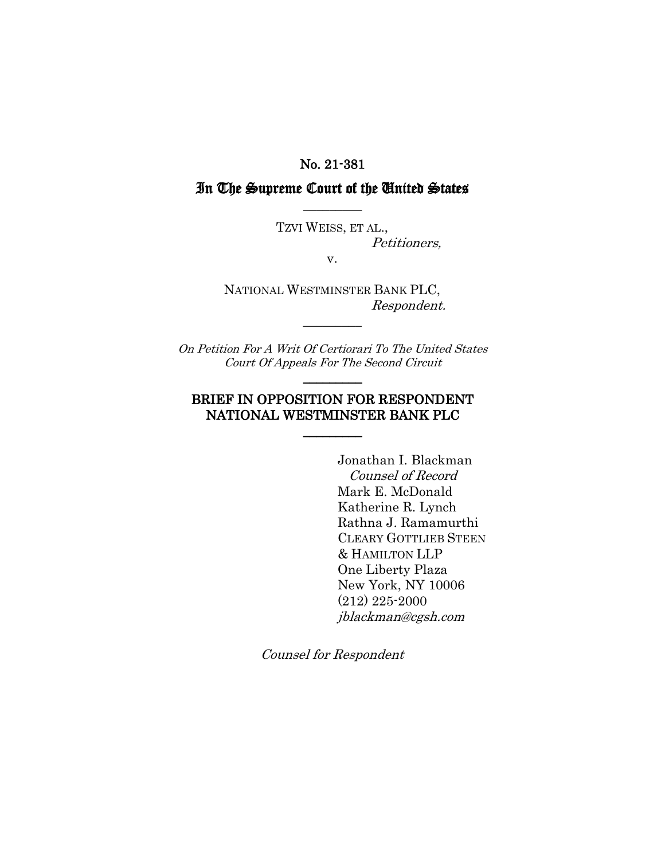#### No. 21-381

# In The Supreme Court of the United States  $\overline{\phantom{a}}$   $\overline{\phantom{a}}$

TZVI WEISS, ET AL., Petitioners,

v.

NATIONAL WESTMINSTER BANK PLC, Respondent.

*\_\_\_\_\_\_\_\_\_* 

On Petition For A Writ Of Certiorari To The United States Court Of Appeals For The Second Circuit  $\overline{\phantom{a}}$ 

### BRIEF IN OPPOSITION FOR RESPONDENT NATIONAL WESTMINSTER BANK PLC

 $\overline{\phantom{a}}$   $\overline{\phantom{a}}$ 

Jonathan I. Blackman Counsel of Record Mark E. McDonald Katherine R. Lynch Rathna J. Ramamurthi CLEARY GOTTLIEB STEEN & HAMILTON LLP One Liberty Plaza New York, NY 10006 (212) 225-2000 jblackman@cgsh.com

Counsel for Respondent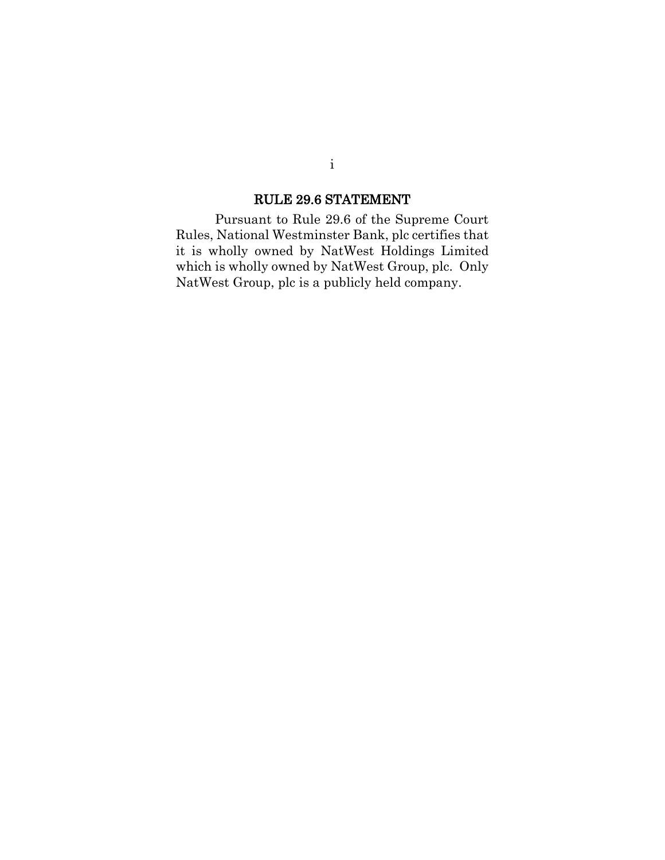# RULE 29.6 STATEMENT

<span id="page-1-0"></span>Pursuant to Rule 29.6 of the Supreme Court Rules, National Westminster Bank, plc certifies that it is wholly owned by NatWest Holdings Limited which is wholly owned by NatWest Group, plc. Only NatWest Group, plc is a publicly held company.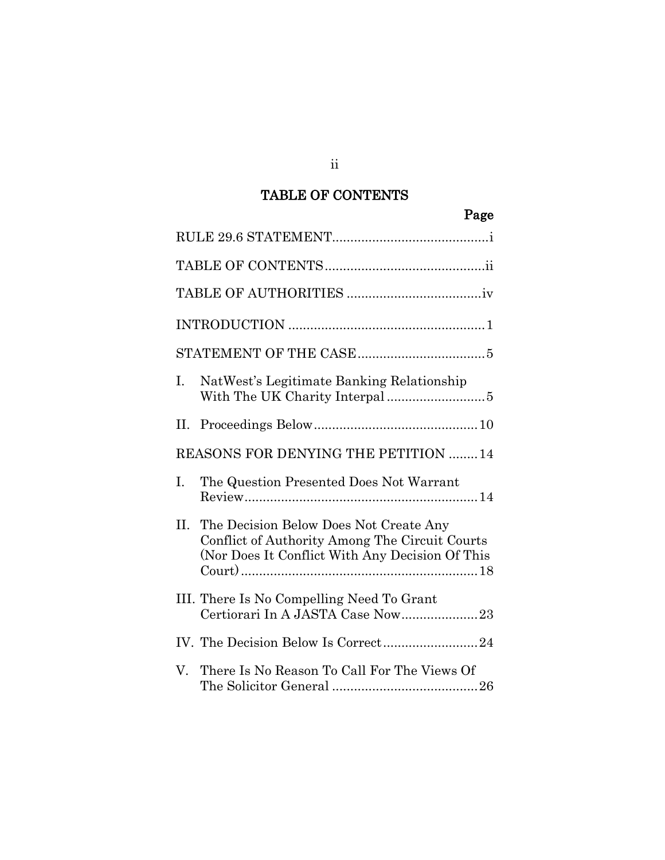# TABLE OF CONTENTS

#### Page

<span id="page-2-0"></span>

| Ι.                                         | NatWest's Legitimate Banking Relationship                                                                                                   |  |  |  |
|--------------------------------------------|---------------------------------------------------------------------------------------------------------------------------------------------|--|--|--|
|                                            |                                                                                                                                             |  |  |  |
| <b>REASONS FOR DENYING THE PETITION 14</b> |                                                                                                                                             |  |  |  |
| Ι.                                         | The Question Presented Does Not Warrant                                                                                                     |  |  |  |
| II.                                        | The Decision Below Does Not Create Any<br>Conflict of Authority Among The Circuit Courts<br>(Nor Does It Conflict With Any Decision Of This |  |  |  |
|                                            | III. There Is No Compelling Need To Grant<br>Certiorari In A JASTA Case Now23                                                               |  |  |  |
|                                            | IV. The Decision Below Is Correct24                                                                                                         |  |  |  |
| V.                                         | There Is No Reason To Call For The Views Of                                                                                                 |  |  |  |

ii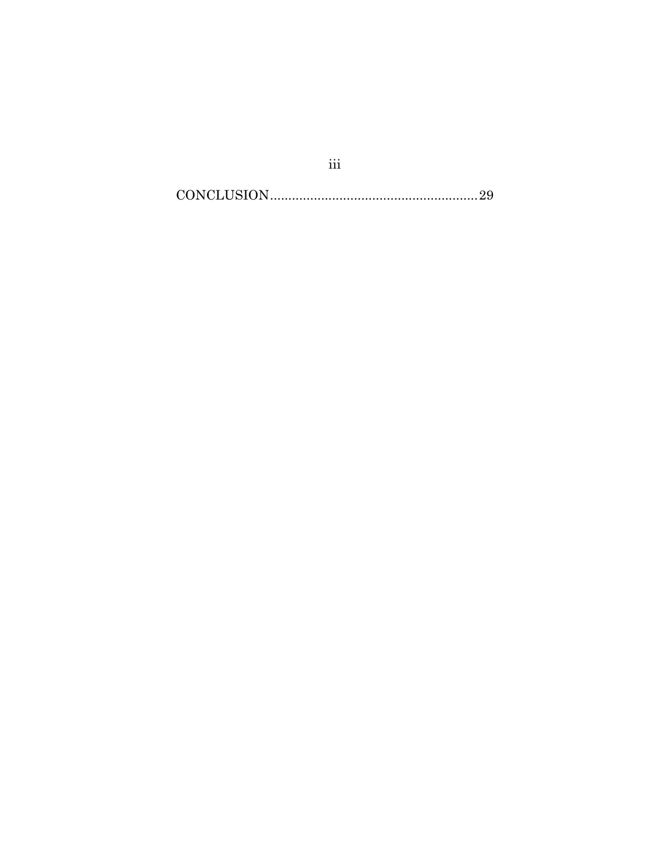$\textbf{CONCLUSION}.\textcolor{red}{\textbf{29}}$ 

 $\rm iii$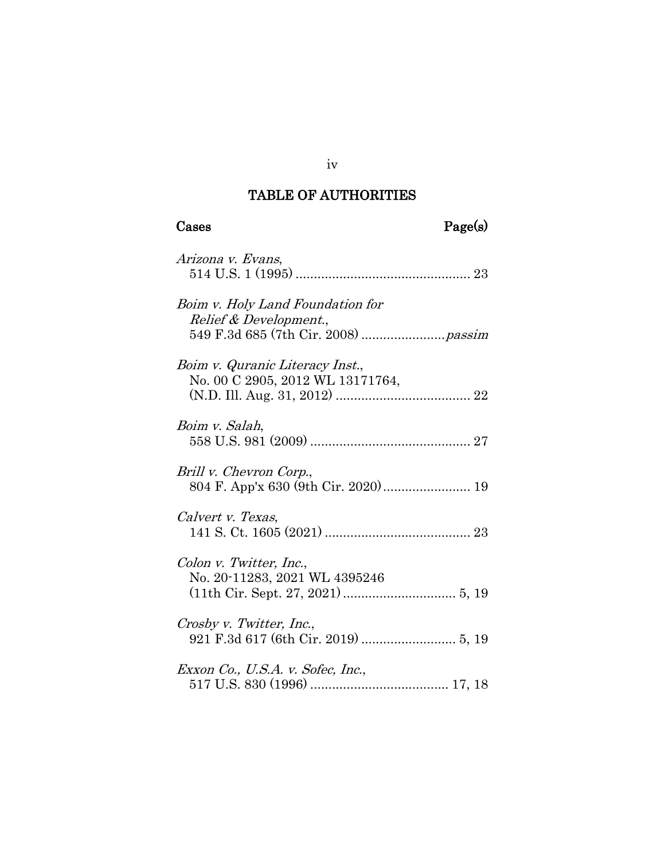# TABLE OF AUTHORITIES

# Cases Page(s)

| Arizona v. Evans,                                                   |
|---------------------------------------------------------------------|
| Boim v. Holy Land Foundation for<br>Relief & Development.,          |
| Boim v. Quranic Literacy Inst.,<br>No. 00 C 2905, 2012 WL 13171764, |
| Boim v. Salah,                                                      |
| Brill v. Chevron Corp.,<br>804 F. App'x 630 (9th Cir. 2020) 19      |
| Calvert v. Texas,                                                   |
| Colon v. Twitter, Inc.,<br>No. 20-11283, 2021 WL 4395246            |
| Crosby v. Twitter, Inc.,                                            |
| Exxon Co., U.S.A. v. Sofec, Inc.,                                   |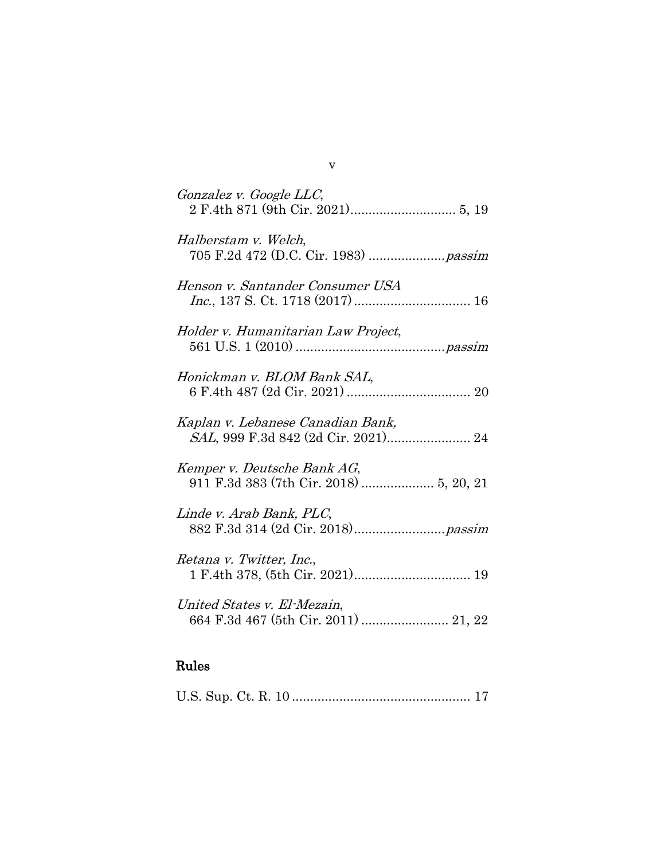| Gonzalez v. Google LLC,                                                  |
|--------------------------------------------------------------------------|
| Halberstam v. Welch,                                                     |
| Henson v. Santander Consumer USA                                         |
| Holder v. Humanitarian Law Project,                                      |
| Honickman v. BLOM Bank SAL,                                              |
| Kaplan v. Lebanese Canadian Bank,<br>SAL, 999 F.3d 842 (2d Cir. 2021) 24 |
| Kemper v. Deutsche Bank AG,<br>911 F.3d 383 (7th Cir. 2018)  5, 20, 21   |
| Linde v. Arab Bank, PLC,                                                 |
| Retana v. Twitter, Inc.,                                                 |
| United States v. El-Mezain,                                              |

#### Rules

|--|--|--|

v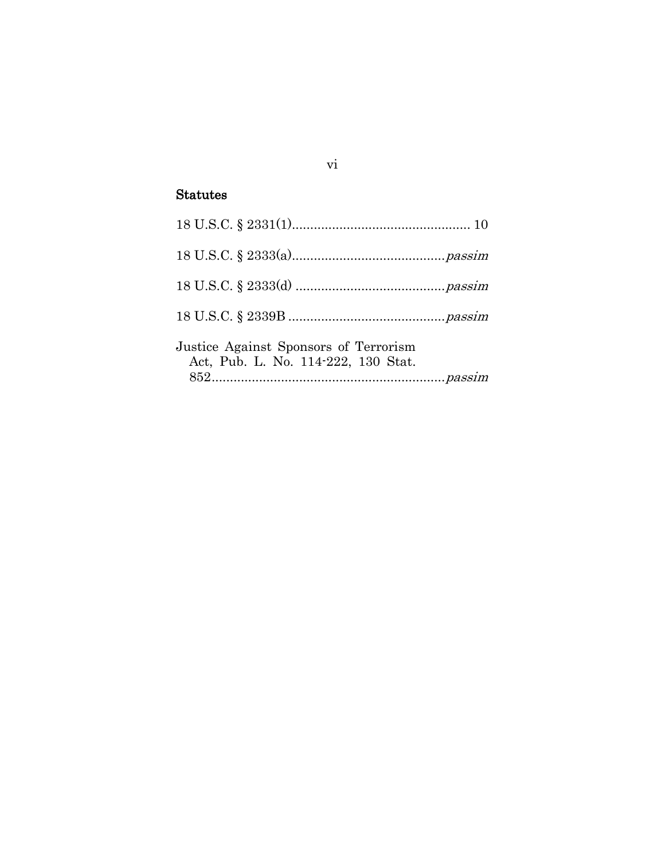# Statutes

| Justice Against Sponsors of Terrorism<br>Act, Pub. L. No. 114-222, 130 Stat. |  |
|------------------------------------------------------------------------------|--|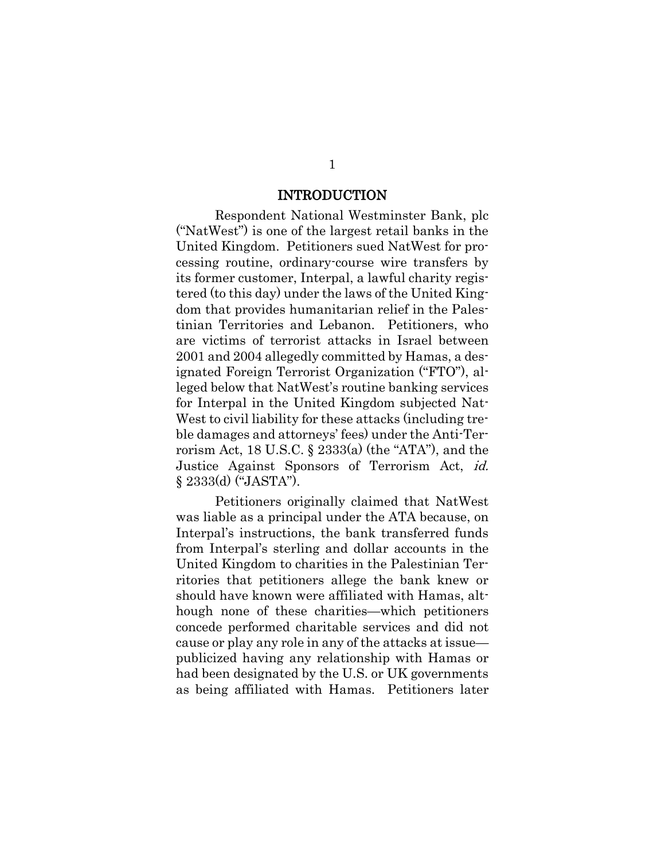#### INTRODUCTION

<span id="page-7-0"></span>Respondent National Westminster Bank, plc ("NatWest") is one of the largest retail banks in the United Kingdom. Petitioners sued NatWest for processing routine, ordinary-course wire transfers by its former customer, Interpal, a lawful charity registered (to this day) under the laws of the United Kingdom that provides humanitarian relief in the Palestinian Territories and Lebanon. Petitioners, who are victims of terrorist attacks in Israel between 2001 and 2004 allegedly committed by Hamas, a designated Foreign Terrorist Organization ("FTO"), alleged below that NatWest's routine banking services for Interpal in the United Kingdom subjected Nat-West to civil liability for these attacks (including treble damages and attorneys' fees) under the Anti-Terrorism Act, 18 U.S.C.  $\S$  2333(a) (the "ATA"), and the Justice Against Sponsors of Terrorism Act, id. § 2333(d) ("JASTA").

Petitioners originally claimed that NatWest was liable as a principal under the ATA because, on Interpal's instructions, the bank transferred funds from Interpal's sterling and dollar accounts in the United Kingdom to charities in the Palestinian Territories that petitioners allege the bank knew or should have known were affiliated with Hamas, although none of these charities—which petitioners concede performed charitable services and did not cause or play any role in any of the attacks at issue publicized having any relationship with Hamas or had been designated by the U.S. or UK governments as being affiliated with Hamas. Petitioners later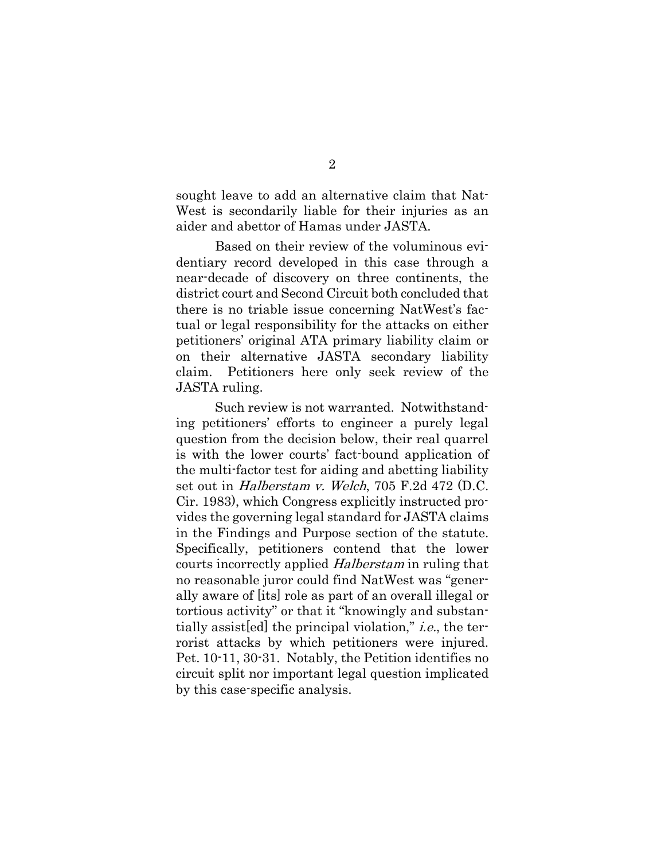sought leave to add an alternative claim that Nat-West is secondarily liable for their injuries as an aider and abettor of Hamas under JASTA.

Based on their review of the voluminous evidentiary record developed in this case through a near-decade of discovery on three continents, the district court and Second Circuit both concluded that there is no triable issue concerning NatWest's factual or legal responsibility for the attacks on either petitioners' original ATA primary liability claim or on their alternative JASTA secondary liability claim. Petitioners here only seek review of the JASTA ruling.

Such review is not warranted. Notwithstanding petitioners' efforts to engineer a purely legal question from the decision below, their real quarrel is with the lower courts' fact-bound application of the multi-factor test for aiding and abetting liability set out in Halberstam v. Welch, 705 F.2d 472 (D.C. Cir. 1983), which Congress explicitly instructed provides the governing legal standard for JASTA claims in the Findings and Purpose section of the statute. Specifically, petitioners contend that the lower courts incorrectly applied Halberstam in ruling that no reasonable juror could find NatWest was "generally aware of [its] role as part of an overall illegal or tortious activity" or that it "knowingly and substantially assist[ed] the principal violation," i.e., the terrorist attacks by which petitioners were injured. Pet. 10-11, 30-31. Notably, the Petition identifies no circuit split nor important legal question implicated by this case-specific analysis.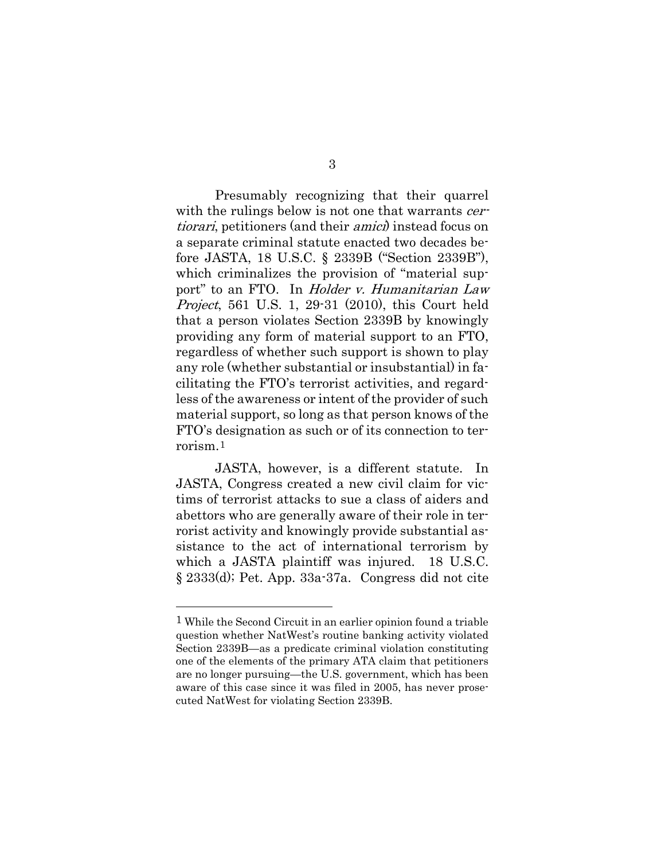Presumably recognizing that their quarrel with the rulings below is not one that warrants *cer*tiorari, petitioners (and their amici) instead focus on a separate criminal statute enacted two decades before JASTA, 18 U.S.C. § 2339B ("Section 2339B"), which criminalizes the provision of "material support" to an FTO. In *Holder v. Humanitarian Law* Project, 561 U.S. 1, 29-31 (2010), this Court held that a person violates Section 2339B by knowingly providing any form of material support to an FTO, regardless of whether such support is shown to play any role (whether substantial or insubstantial) in facilitating the FTO's terrorist activities, and regardless of the awareness or intent of the provider of such material support, so long as that person knows of the FTO's designation as such or of its connection to terrorism.[1](#page-9-0)

JASTA, however, is a different statute. In JASTA, Congress created a new civil claim for victims of terrorist attacks to sue a class of aiders and abettors who are generally aware of their role in terrorist activity and knowingly provide substantial assistance to the act of international terrorism by which a JASTA plaintiff was injured. 18 U.S.C. § 2333(d); Pet. App. 33a-37a. Congress did not cite

<span id="page-9-0"></span><sup>1</sup> While the Second Circuit in an earlier opinion found a triable question whether NatWest's routine banking activity violated Section 2339B—as a predicate criminal violation constituting one of the elements of the primary ATA claim that petitioners are no longer pursuing—the U.S. government, which has been aware of this case since it was filed in 2005, has never prosecuted NatWest for violating Section 2339B.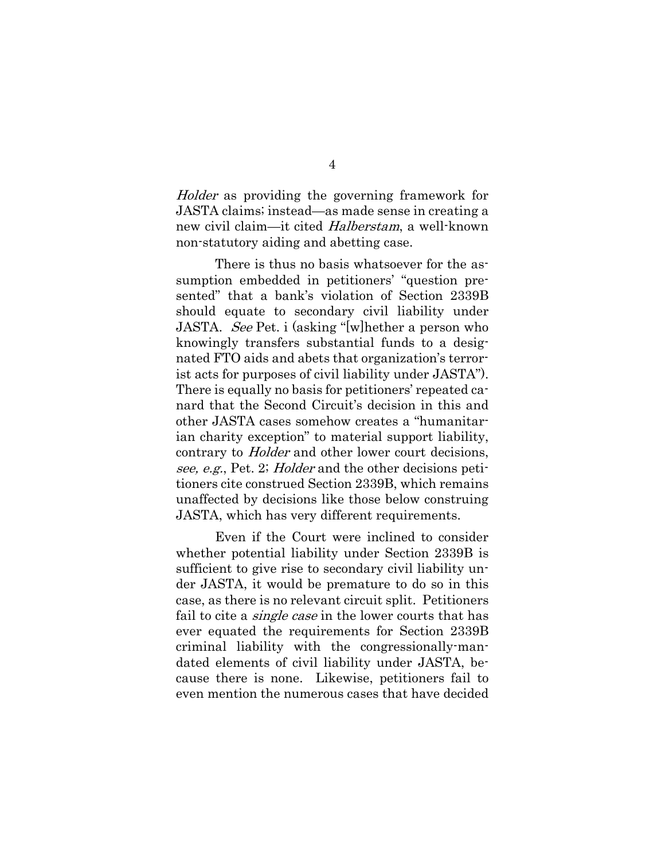Holder as providing the governing framework for JASTA claims; instead—as made sense in creating a new civil claim—it cited Halberstam, a well-known non-statutory aiding and abetting case.

There is thus no basis whatsoever for the assumption embedded in petitioners' "question presented" that a bank's violation of Section 2339B should equate to secondary civil liability under JASTA. See Pet. i (asking "[w]hether a person who knowingly transfers substantial funds to a designated FTO aids and abets that organization's terrorist acts for purposes of civil liability under JASTA"). There is equally no basis for petitioners' repeated canard that the Second Circuit's decision in this and other JASTA cases somehow creates a "humanitarian charity exception" to material support liability, contrary to Holder and other lower court decisions, see, e.g., Pet. 2; *Holder* and the other decisions petitioners cite construed Section 2339B, which remains unaffected by decisions like those below construing JASTA, which has very different requirements.

Even if the Court were inclined to consider whether potential liability under Section 2339B is sufficient to give rise to secondary civil liability under JASTA, it would be premature to do so in this case, as there is no relevant circuit split. Petitioners fail to cite a *single case* in the lower courts that has ever equated the requirements for Section 2339B criminal liability with the congressionally-mandated elements of civil liability under JASTA, because there is none. Likewise, petitioners fail to even mention the numerous cases that have decided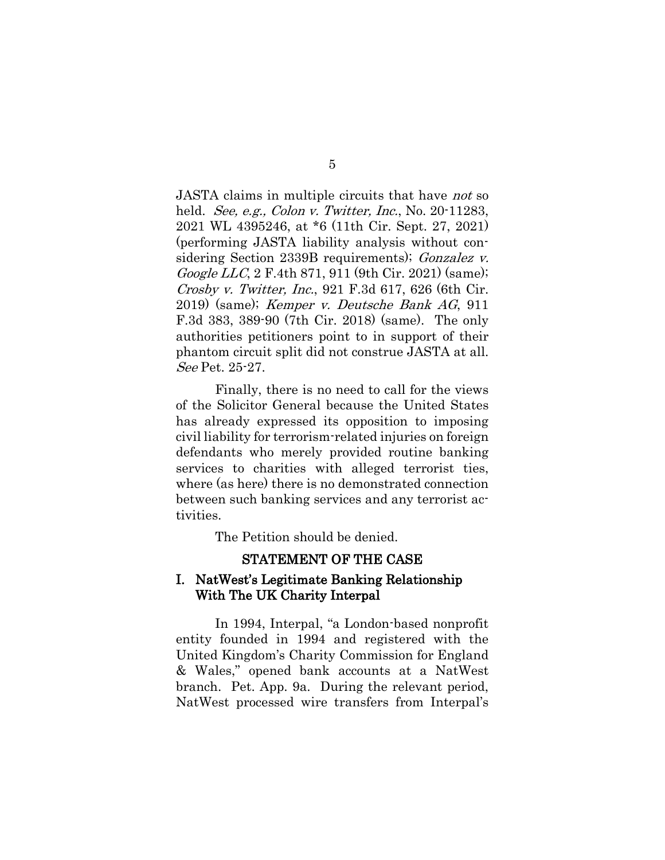JASTA claims in multiple circuits that have not so held. *See, e.g., Colon v. Twitter, Inc.*, No. 20-11283, 2021 WL 4395246, at \*6 (11th Cir. Sept. 27, 2021) (performing JASTA liability analysis without considering Section 2339B requirements); *Gonzalez v.* Google LLC, 2 F.4th 871, 911 (9th Cir. 2021) (same); Crosby v. Twitter, Inc., 921 F.3d 617, 626 (6th Cir. 2019) (same); Kemper v. Deutsche Bank AG, 911 F.3d 383, 389-90 (7th Cir. 2018) (same). The only authorities petitioners point to in support of their phantom circuit split did not construe JASTA at all. See Pet. 25-27.

Finally, there is no need to call for the views of the Solicitor General because the United States has already expressed its opposition to imposing civil liability for terrorism-related injuries on foreign defendants who merely provided routine banking services to charities with alleged terrorist ties, where (as here) there is no demonstrated connection between such banking services and any terrorist activities.

The Petition should be denied.

### STATEMENT OF THE CASE

#### <span id="page-11-1"></span><span id="page-11-0"></span>I. NatWest's Legitimate Banking Relationship With The UK Charity Interpal

In 1994, Interpal, "a London-based nonprofit entity founded in 1994 and registered with the United Kingdom's Charity Commission for England & Wales," opened bank accounts at a NatWest branch. Pet. App. 9a. During the relevant period, NatWest processed wire transfers from Interpal's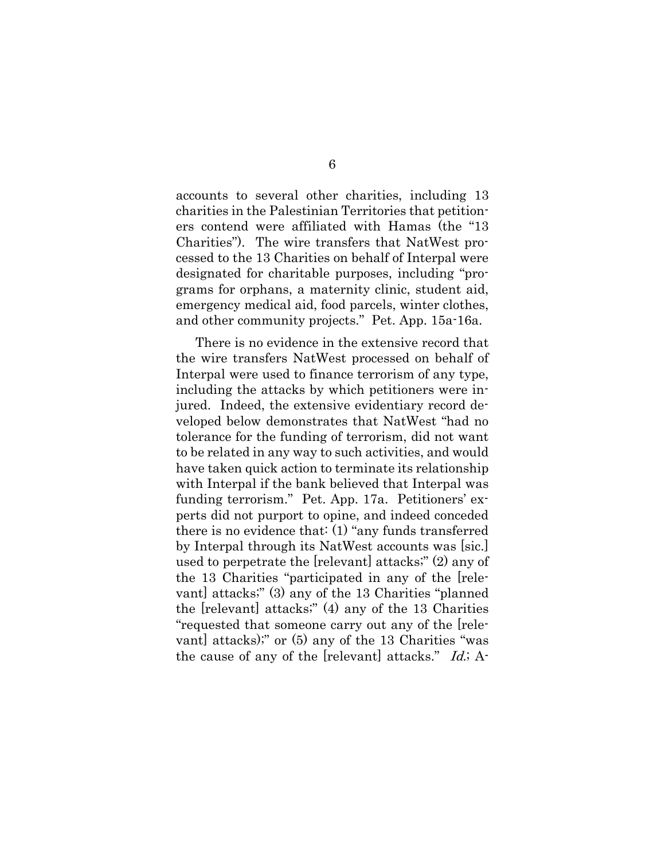accounts to several other charities, including 13 charities in the Palestinian Territories that petitioners contend were affiliated with Hamas (the "13 Charities"). The wire transfers that NatWest processed to the 13 Charities on behalf of Interpal were designated for charitable purposes, including "programs for orphans, a maternity clinic, student aid, emergency medical aid, food parcels, winter clothes, and other community projects." Pet. App. 15a-16a.

There is no evidence in the extensive record that the wire transfers NatWest processed on behalf of Interpal were used to finance terrorism of any type, including the attacks by which petitioners were injured. Indeed, the extensive evidentiary record developed below demonstrates that NatWest "had no tolerance for the funding of terrorism, did not want to be related in any way to such activities, and would have taken quick action to terminate its relationship with Interpal if the bank believed that Interpal was funding terrorism." Pet. App. 17a. Petitioners' experts did not purport to opine, and indeed conceded there is no evidence that: (1) "any funds transferred by Interpal through its NatWest accounts was [sic.] used to perpetrate the [relevant] attacks;" (2) any of the 13 Charities "participated in any of the [relevant] attacks;" (3) any of the 13 Charities "planned the [relevant] attacks;" (4) any of the 13 Charities "requested that someone carry out any of the [relevant] attacks);" or (5) any of the 13 Charities "was the cause of any of the [relevant] attacks."  $Id$ ; A-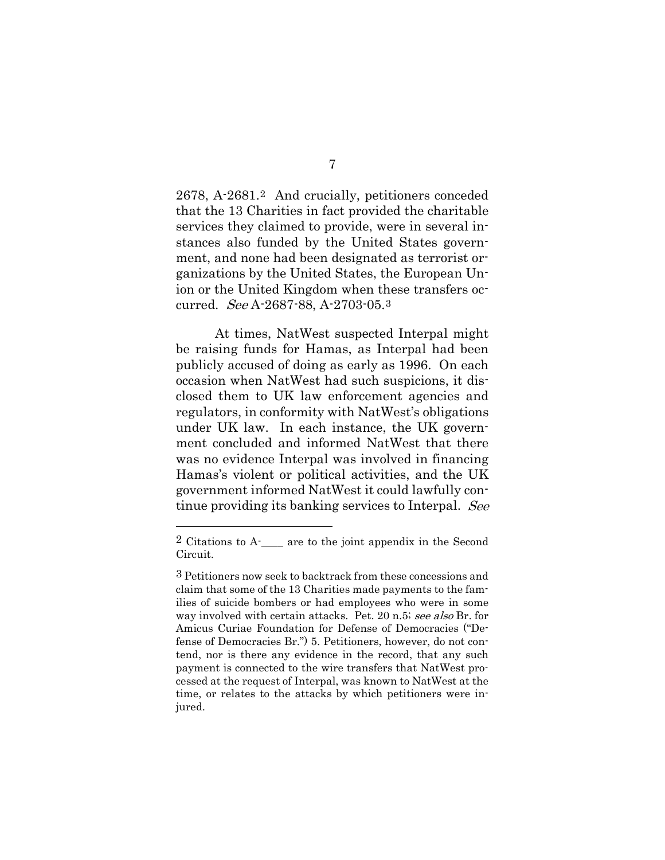2678, A-2681.[2](#page-13-0) And crucially, petitioners conceded that the 13 Charities in fact provided the charitable services they claimed to provide, were in several instances also funded by the United States government, and none had been designated as terrorist organizations by the United States, the European Union or the United Kingdom when these transfers occurred. See A-2687-88, A-2703-05.[3](#page-13-1)

At times, NatWest suspected Interpal might be raising funds for Hamas, as Interpal had been publicly accused of doing as early as 1996. On each occasion when NatWest had such suspicions, it disclosed them to UK law enforcement agencies and regulators, in conformity with NatWest's obligations under UK law. In each instance, the UK government concluded and informed NatWest that there was no evidence Interpal was involved in financing Hamas's violent or political activities, and the UK government informed NatWest it could lawfully continue providing its banking services to Interpal. See

<span id="page-13-0"></span><sup>2</sup> Citations to A-\_\_\_\_ are to the joint appendix in the Second Circuit.

<span id="page-13-1"></span><sup>3</sup> Petitioners now seek to backtrack from these concessions and claim that some of the 13 Charities made payments to the families of suicide bombers or had employees who were in some way involved with certain attacks. Pet. 20 n.5; see also Br. for Amicus Curiae Foundation for Defense of Democracies ("Defense of Democracies Br.") 5. Petitioners, however, do not contend, nor is there any evidence in the record, that any such payment is connected to the wire transfers that NatWest processed at the request of Interpal, was known to NatWest at the time, or relates to the attacks by which petitioners were injured.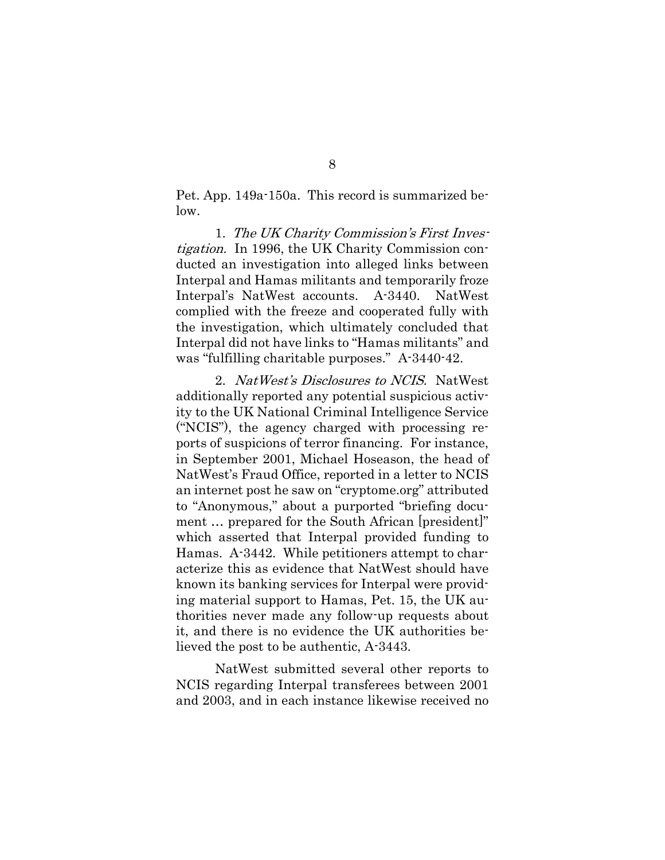Pet. App. 149a-150a. This record is summarized below.

1. The UK Charity Commission's First Investigation. In 1996, the UK Charity Commission conducted an investigation into alleged links between Interpal and Hamas militants and temporarily froze Interpal's NatWest accounts. A-3440. NatWest complied with the freeze and cooperated fully with the investigation, which ultimately concluded that Interpal did not have links to "Hamas militants" and was "fulfilling charitable purposes." A-3440-42.

2. NatWest's Disclosures to NCIS. NatWest additionally reported any potential suspicious activity to the UK National Criminal Intelligence Service ("NCIS"), the agency charged with processing reports of suspicions of terror financing. For instance, in September 2001, Michael Hoseason, the head of NatWest's Fraud Office, reported in a letter to NCIS an internet post he saw on "cryptome.org" attributed to "Anonymous," about a purported "briefing document … prepared for the South African [president]" which asserted that Interpal provided funding to Hamas. A-3442. While petitioners attempt to characterize this as evidence that NatWest should have known its banking services for Interpal were providing material support to Hamas, Pet. 15, the UK authorities never made any follow-up requests about it, and there is no evidence the UK authorities believed the post to be authentic, A-3443.

NatWest submitted several other reports to NCIS regarding Interpal transferees between 2001 and 2003, and in each instance likewise received no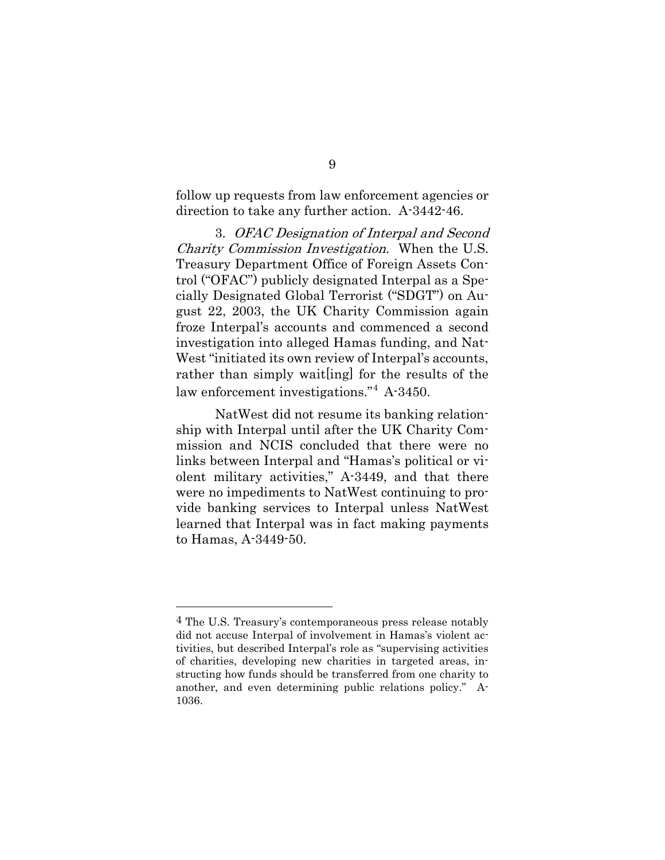follow up requests from law enforcement agencies or direction to take any further action. A-3442-46.

3. OFAC Designation of Interpal and Second Charity Commission Investigation. When the U.S. Treasury Department Office of Foreign Assets Control ("OFAC") publicly designated Interpal as a Specially Designated Global Terrorist ("SDGT") on August 22, 2003, the UK Charity Commission again froze Interpal's accounts and commenced a second investigation into alleged Hamas funding, and Nat-West "initiated its own review of Interpal's accounts, rather than simply wait[ing] for the results of the law enforcement investigations."[4](#page-15-0) A-3450.

NatWest did not resume its banking relationship with Interpal until after the UK Charity Commission and NCIS concluded that there were no links between Interpal and "Hamas's political or violent military activities," A-3449, and that there were no impediments to NatWest continuing to provide banking services to Interpal unless NatWest learned that Interpal was in fact making payments to Hamas, A-3449-50.

<span id="page-15-0"></span><sup>4</sup> The U.S. Treasury's contemporaneous press release notably did not accuse Interpal of involvement in Hamas's violent activities, but described Interpal's role as "supervising activities of charities, developing new charities in targeted areas, instructing how funds should be transferred from one charity to another, and even determining public relations policy." A-1036.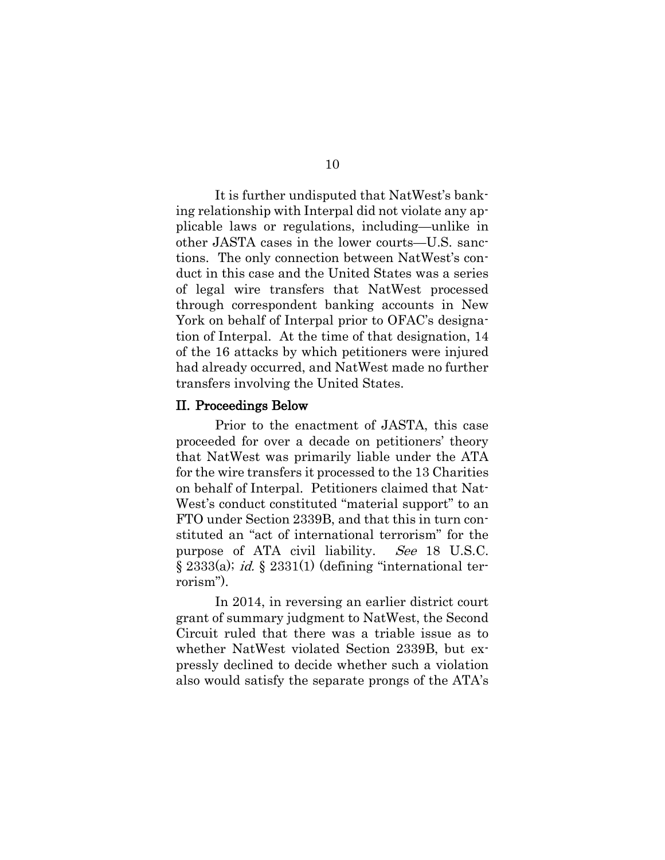It is further undisputed that NatWest's banking relationship with Interpal did not violate any applicable laws or regulations, including—unlike in other JASTA cases in the lower courts—U.S. sanctions. The only connection between NatWest's conduct in this case and the United States was a series of legal wire transfers that NatWest processed through correspondent banking accounts in New York on behalf of Interpal prior to OFAC's designation of Interpal. At the time of that designation, 14 of the 16 attacks by which petitioners were injured had already occurred, and NatWest made no further transfers involving the United States.

#### <span id="page-16-0"></span>II. Proceedings Below

Prior to the enactment of JASTA, this case proceeded for over a decade on petitioners' theory that NatWest was primarily liable under the ATA for the wire transfers it processed to the 13 Charities on behalf of Interpal. Petitioners claimed that Nat-West's conduct constituted "material support" to an FTO under Section 2339B, and that this in turn constituted an "act of international terrorism" for the purpose of ATA civil liability. See 18 U.S.C.  $\S 2333(a)$ ; *id.*  $\S 2331(1)$  (defining "international terrorism").

In 2014, in reversing an earlier district court grant of summary judgment to NatWest, the Second Circuit ruled that there was a triable issue as to whether NatWest violated Section 2339B, but expressly declined to decide whether such a violation also would satisfy the separate prongs of the ATA's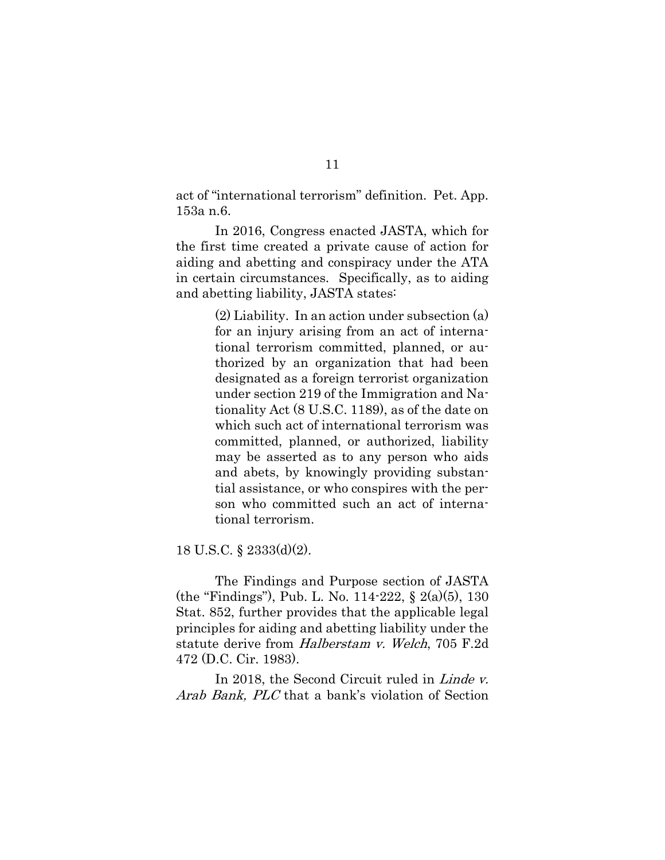act of "international terrorism" definition. Pet. App. 153a n.6.

In 2016, Congress enacted JASTA, which for the first time created a private cause of action for aiding and abetting and conspiracy under the ATA in certain circumstances. Specifically, as to aiding and abetting liability, JASTA states:

> (2) Liability. In an action under subsection (a) for an injury arising from an act of international terrorism committed, planned, or authorized by an organization that had been designated as a foreign terrorist organization under section 219 of the Immigration and Nationality Act (8 U.S.C. 1189), as of the date on which such act of international terrorism was committed, planned, or authorized, liability may be asserted as to any person who aids and abets, by knowingly providing substantial assistance, or who conspires with the person who committed such an act of international terrorism.

18 U.S.C. § 2333(d)(2).

The Findings and Purpose section of JASTA (the "Findings"), Pub. L. No. 114-222, § 2(a)(5), 130 Stat. 852, further provides that the applicable legal principles for aiding and abetting liability under the statute derive from Halberstam v. Welch, 705 F.2d 472 (D.C. Cir. 1983).

In 2018, the Second Circuit ruled in *Linde v.* Arab Bank, PLC that a bank's violation of Section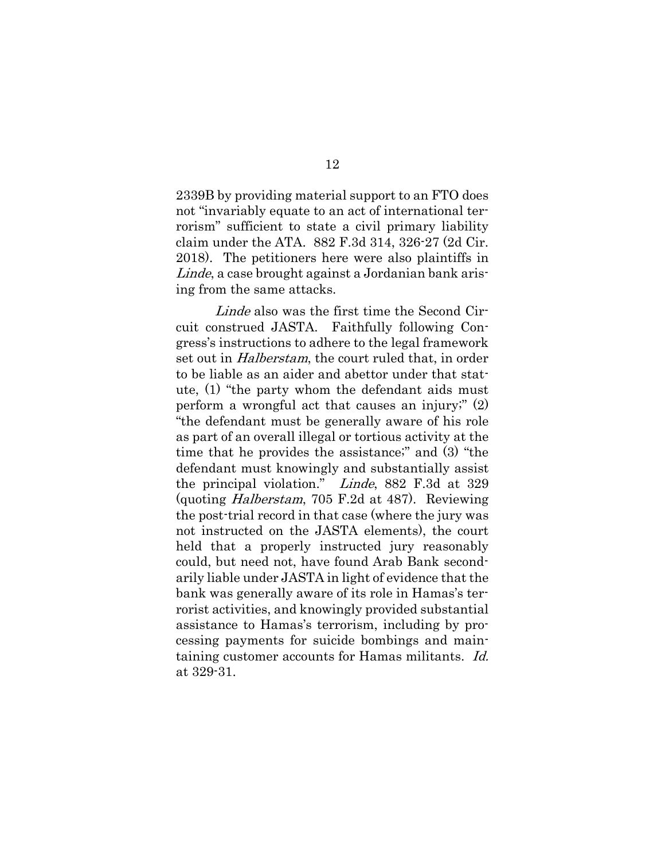2339B by providing material support to an FTO does not "invariably equate to an act of international terrorism" sufficient to state a civil primary liability claim under the ATA. 882 F.3d 314, 326-27 (2d Cir. 2018). The petitioners here were also plaintiffs in Linde, a case brought against a Jordanian bank arising from the same attacks.

Linde also was the first time the Second Circuit construed JASTA. Faithfully following Congress's instructions to adhere to the legal framework set out in *Halberstam*, the court ruled that, in order to be liable as an aider and abettor under that statute, (1) "the party whom the defendant aids must perform a wrongful act that causes an injury;" (2) "the defendant must be generally aware of his role as part of an overall illegal or tortious activity at the time that he provides the assistance;" and (3) "the defendant must knowingly and substantially assist the principal violation." Linde, 882 F.3d at 329 (quoting Halberstam, 705 F.2d at 487). Reviewing the post-trial record in that case (where the jury was not instructed on the JASTA elements), the court held that a properly instructed jury reasonably could, but need not, have found Arab Bank secondarily liable under JASTA in light of evidence that the bank was generally aware of its role in Hamas's terrorist activities, and knowingly provided substantial assistance to Hamas's terrorism, including by processing payments for suicide bombings and maintaining customer accounts for Hamas militants. Id. at 329-31.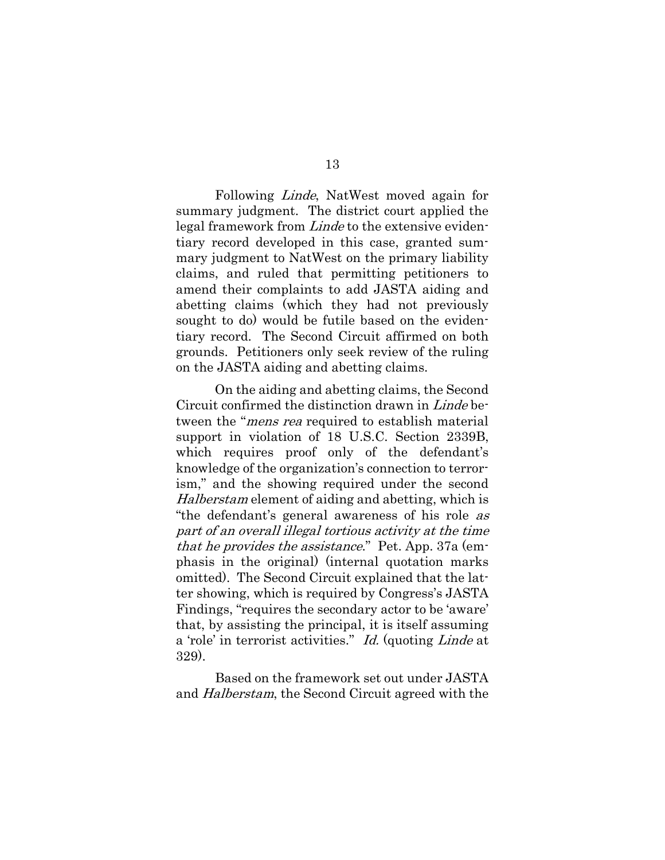Following Linde, NatWest moved again for summary judgment. The district court applied the legal framework from *Linde* to the extensive evidentiary record developed in this case, granted summary judgment to NatWest on the primary liability claims, and ruled that permitting petitioners to amend their complaints to add JASTA aiding and abetting claims (which they had not previously sought to do) would be futile based on the evidentiary record. The Second Circuit affirmed on both grounds. Petitioners only seek review of the ruling on the JASTA aiding and abetting claims.

On the aiding and abetting claims, the Second Circuit confirmed the distinction drawn in Linde between the "*mens rea* required to establish material support in violation of 18 U.S.C. Section 2339B, which requires proof only of the defendant's knowledge of the organization's connection to terrorism," and the showing required under the second Halberstam element of aiding and abetting, which is "the defendant's general awareness of his role as part of an overall illegal tortious activity at the time that he provides the assistance." Pet. App. 37a (emphasis in the original) (internal quotation marks omitted). The Second Circuit explained that the latter showing, which is required by Congress's JASTA Findings, "requires the secondary actor to be 'aware' that, by assisting the principal, it is itself assuming a 'role' in terrorist activities." Id. (quoting Linde at 329).

Based on the framework set out under JASTA and Halberstam, the Second Circuit agreed with the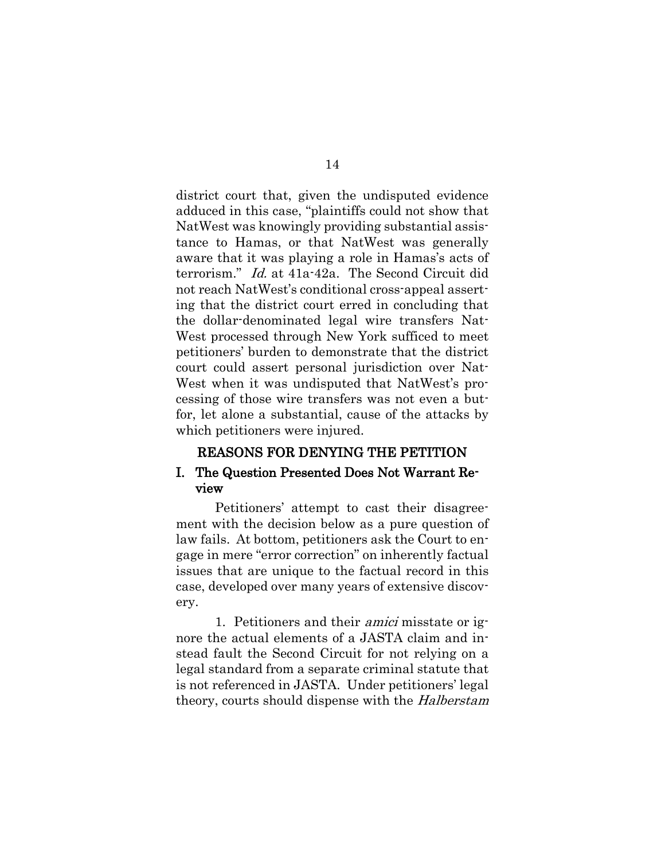district court that, given the undisputed evidence adduced in this case, "plaintiffs could not show that NatWest was knowingly providing substantial assistance to Hamas, or that NatWest was generally aware that it was playing a role in Hamas's acts of terrorism." Id. at 41a-42a. The Second Circuit did not reach NatWest's conditional cross-appeal asserting that the district court erred in concluding that the dollar-denominated legal wire transfers Nat-West processed through New York sufficed to meet petitioners' burden to demonstrate that the district court could assert personal jurisdiction over Nat-West when it was undisputed that NatWest's processing of those wire transfers was not even a butfor, let alone a substantial, cause of the attacks by which petitioners were injured.

#### REASONS FOR DENYING THE PETITION

#### <span id="page-20-1"></span><span id="page-20-0"></span>I. The Question Presented Does Not Warrant Review

Petitioners' attempt to cast their disagreement with the decision below as a pure question of law fails. At bottom, petitioners ask the Court to engage in mere "error correction" on inherently factual issues that are unique to the factual record in this case, developed over many years of extensive discovery.

1. Petitioners and their amici misstate or ignore the actual elements of a JASTA claim and instead fault the Second Circuit for not relying on a legal standard from a separate criminal statute that is not referenced in JASTA. Under petitioners' legal theory, courts should dispense with the *Halberstam*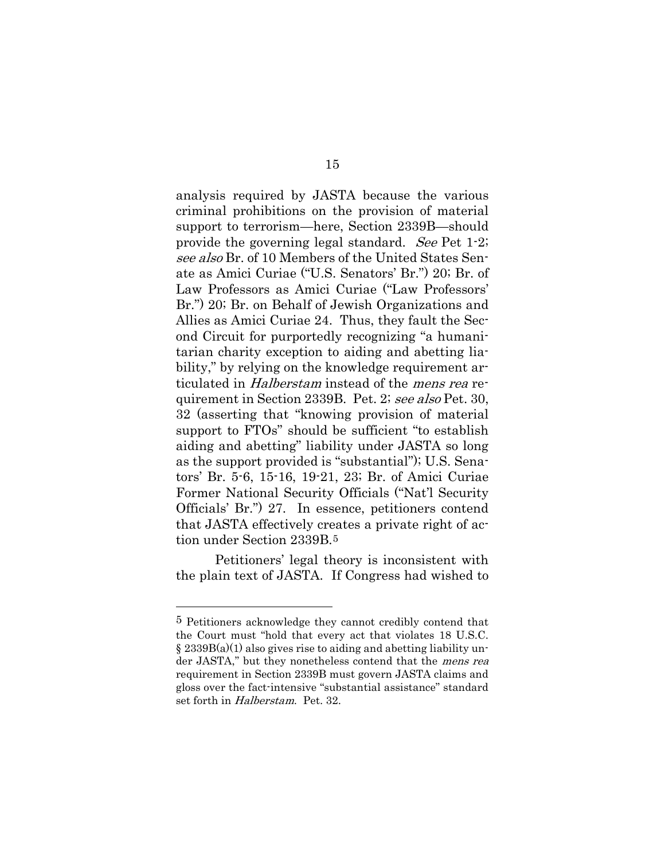analysis required by JASTA because the various criminal prohibitions on the provision of material support to terrorism—here, Section 2339B—should provide the governing legal standard. See Pet 1-2; see also Br. of 10 Members of the United States Senate as Amici Curiae ("U.S. Senators' Br.") 20; Br. of Law Professors as Amici Curiae ("Law Professors' Br.") 20; Br. on Behalf of Jewish Organizations and Allies as Amici Curiae 24. Thus, they fault the Second Circuit for purportedly recognizing "a humanitarian charity exception to aiding and abetting liability," by relying on the knowledge requirement articulated in Halberstam instead of the mens rea requirement in Section 2339B. Pet. 2; see also Pet. 30, 32 (asserting that "knowing provision of material support to FTOs" should be sufficient "to establish aiding and abetting" liability under JASTA so long as the support provided is "substantial"); U.S. Senators' Br. 5-6, 15-16, 19-21, 23; Br. of Amici Curiae Former National Security Officials ("Nat'l Security Officials' Br.") 27. In essence, petitioners contend that JASTA effectively creates a private right of action under Section 2339B.[5](#page-21-0)

Petitioners' legal theory is inconsistent with the plain text of JASTA. If Congress had wished to

#### 15

<span id="page-21-0"></span><sup>5</sup> Petitioners acknowledge they cannot credibly contend that the Court must "hold that every act that violates 18 U.S.C.  $\S 2339B(a)(1)$  also gives rise to aiding and abetting liability under JASTA," but they nonetheless contend that the mens rea requirement in Section 2339B must govern JASTA claims and gloss over the fact-intensive "substantial assistance" standard set forth in Halberstam. Pet. 32.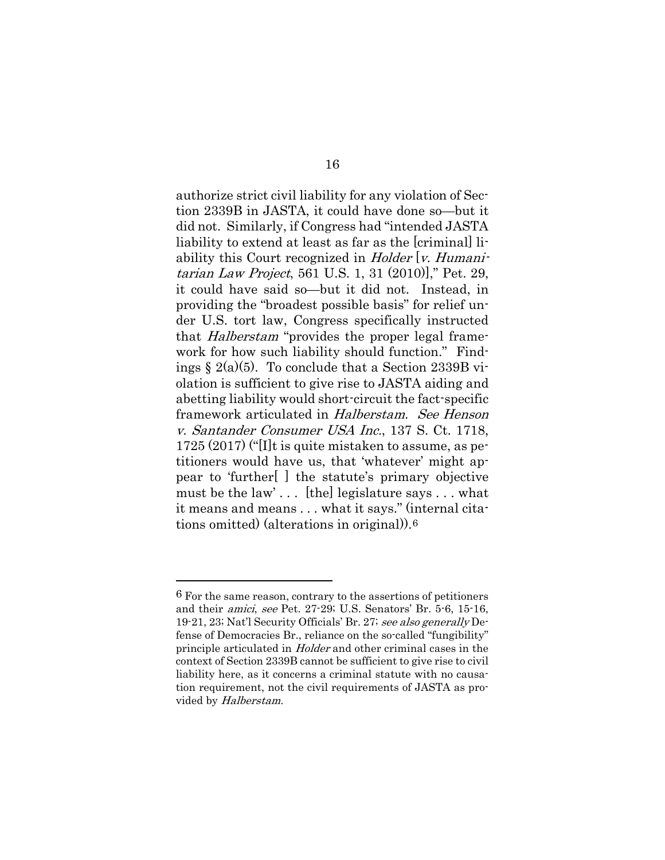authorize strict civil liability for any violation of Section 2339B in JASTA, it could have done so—but it did not. Similarly, if Congress had "intended JASTA liability to extend at least as far as the [criminal] liability this Court recognized in *Holder* [v. Humanitarian Law Project, 561 U.S. 1, 31 (2010)]," Pet. 29, it could have said so—but it did not. Instead, in providing the "broadest possible basis" for relief under U.S. tort law, Congress specifically instructed that Halberstam "provides the proper legal framework for how such liability should function." Findings  $\S 2(a)(5)$ . To conclude that a Section 2339B violation is sufficient to give rise to JASTA aiding and abetting liability would short-circuit the fact-specific framework articulated in Halberstam. See Henson v. Santander Consumer USA Inc., 137 S. Ct. 1718, 1725 (2017) ("[I]t is quite mistaken to assume, as petitioners would have us, that 'whatever' might appear to 'further[ ] the statute's primary objective must be the law' . . . [the] legislature says . . . what it means and means . . . what it says." (internal citations omitted) (alterations in original)).[6](#page-22-0) 

<span id="page-22-0"></span><sup>6</sup> For the same reason, contrary to the assertions of petitioners and their amici, see Pet. 27-29; U.S. Senators' Br. 5-6, 15-16, 19-21, 23; Nat'l Security Officials' Br. 27; see also generally Defense of Democracies Br., reliance on the so-called "fungibility" principle articulated in *Holder* and other criminal cases in the context of Section 2339B cannot be sufficient to give rise to civil liability here, as it concerns a criminal statute with no causation requirement, not the civil requirements of JASTA as provided by Halberstam.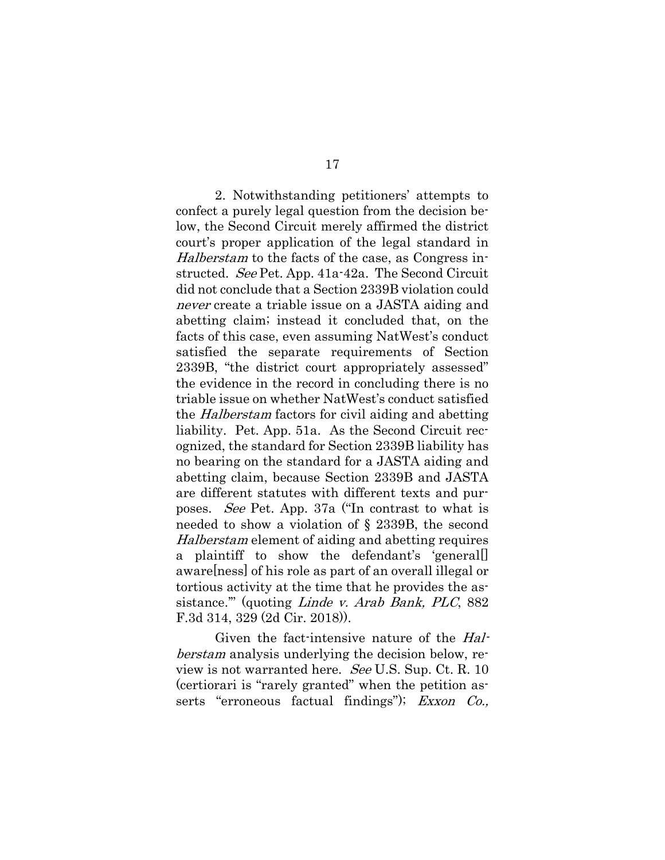2. Notwithstanding petitioners' attempts to confect a purely legal question from the decision below, the Second Circuit merely affirmed the district court's proper application of the legal standard in Halberstam to the facts of the case, as Congress instructed. See Pet. App. 41a-42a. The Second Circuit did not conclude that a Section 2339B violation could never create a triable issue on a JASTA aiding and abetting claim; instead it concluded that, on the facts of this case, even assuming NatWest's conduct satisfied the separate requirements of Section 2339B, "the district court appropriately assessed" the evidence in the record in concluding there is no triable issue on whether NatWest's conduct satisfied the Halberstam factors for civil aiding and abetting liability. Pet. App. 51a. As the Second Circuit recognized, the standard for Section 2339B liability has no bearing on the standard for a JASTA aiding and abetting claim, because Section 2339B and JASTA are different statutes with different texts and purposes. See Pet. App. 37a ("In contrast to what is needed to show a violation of § 2339B, the second Halberstam element of aiding and abetting requires a plaintiff to show the defendant's 'general[] aware[ness] of his role as part of an overall illegal or tortious activity at the time that he provides the assistance.'" (quoting Linde v. Arab Bank, PLC, 882 F.3d 314, 329 (2d Cir. 2018)).

Given the fact-intensive nature of the Halberstam analysis underlying the decision below, review is not warranted here. See U.S. Sup. Ct. R. 10 (certiorari is "rarely granted" when the petition asserts "erroneous factual findings"); Exxon Co.,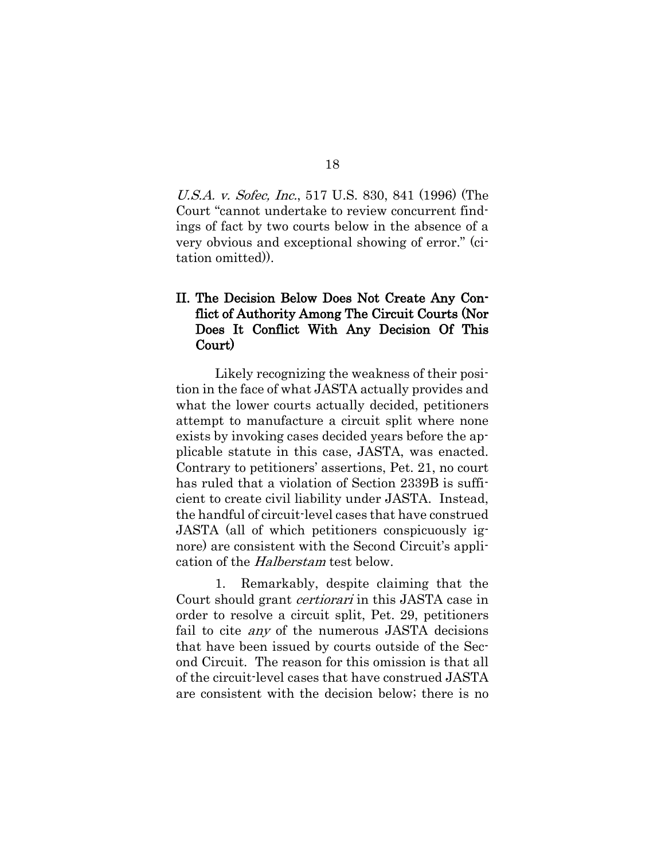U.S.A. v. Sofec, Inc., 517 U.S. 830, 841 (1996) (The Court "cannot undertake to review concurrent findings of fact by two courts below in the absence of a very obvious and exceptional showing of error." (citation omitted)).

#### <span id="page-24-0"></span>II. The Decision Below Does Not Create Any Conflict of Authority Among The Circuit Courts (Nor Does It Conflict With Any Decision Of This Court)

Likely recognizing the weakness of their position in the face of what JASTA actually provides and what the lower courts actually decided, petitioners attempt to manufacture a circuit split where none exists by invoking cases decided years before the applicable statute in this case, JASTA, was enacted. Contrary to petitioners' assertions, Pet. 21, no court has ruled that a violation of Section 2339B is sufficient to create civil liability under JASTA. Instead, the handful of circuit-level cases that have construed JASTA (all of which petitioners conspicuously ignore) are consistent with the Second Circuit's application of the Halberstam test below.

1. Remarkably, despite claiming that the Court should grant *certiorari* in this JASTA case in order to resolve a circuit split, Pet. 29, petitioners fail to cite *any* of the numerous JASTA decisions that have been issued by courts outside of the Second Circuit. The reason for this omission is that all of the circuit-level cases that have construed JASTA are consistent with the decision below; there is no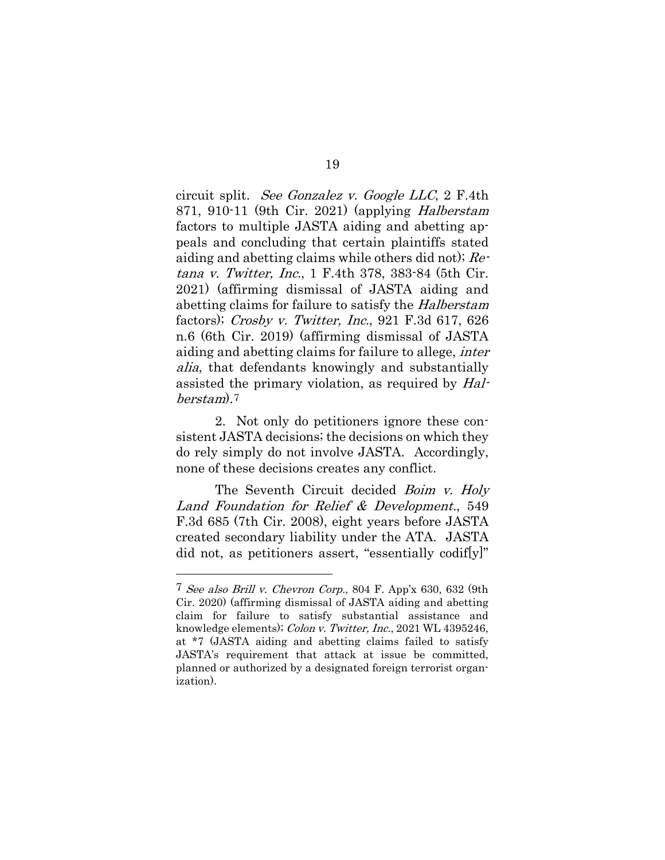circuit split. See Gonzalez v. Google LLC, 2 F.4th 871, 910-11 (9th Cir. 2021) (applying Halberstam factors to multiple JASTA aiding and abetting appeals and concluding that certain plaintiffs stated aiding and abetting claims while others did not); Retana v. Twitter, Inc., 1 F.4th 378, 383-84 (5th Cir. 2021) (affirming dismissal of JASTA aiding and abetting claims for failure to satisfy the Halberstam factors); Crosby v. Twitter, Inc., 921 F.3d 617, 626 n.6 (6th Cir. 2019) (affirming dismissal of JASTA aiding and abetting claims for failure to allege, inter alia, that defendants knowingly and substantially assisted the primary violation, as required by Halberstam).[7](#page-25-0)

2. Not only do petitioners ignore these consistent JASTA decisions; the decisions on which they do rely simply do not involve JASTA. Accordingly, none of these decisions creates any conflict.

The Seventh Circuit decided *Boim v. Holy* Land Foundation for Relief & Development., 549 F.3d 685 (7th Cir. 2008), eight years before JASTA created secondary liability under the ATA. JASTA did not, as petitioners assert, "essentially codif[y]"

<span id="page-25-0"></span><sup>7</sup> See also Brill v. Chevron Corp., 804 F. App'x 630, 632 (9th Cir. 2020) (affirming dismissal of JASTA aiding and abetting claim for failure to satisfy substantial assistance and knowledge elements); Colon v. Twitter, Inc., 2021 WL 4395246, at \*7 (JASTA aiding and abetting claims failed to satisfy JASTA's requirement that attack at issue be committed, planned or authorized by a designated foreign terrorist organization).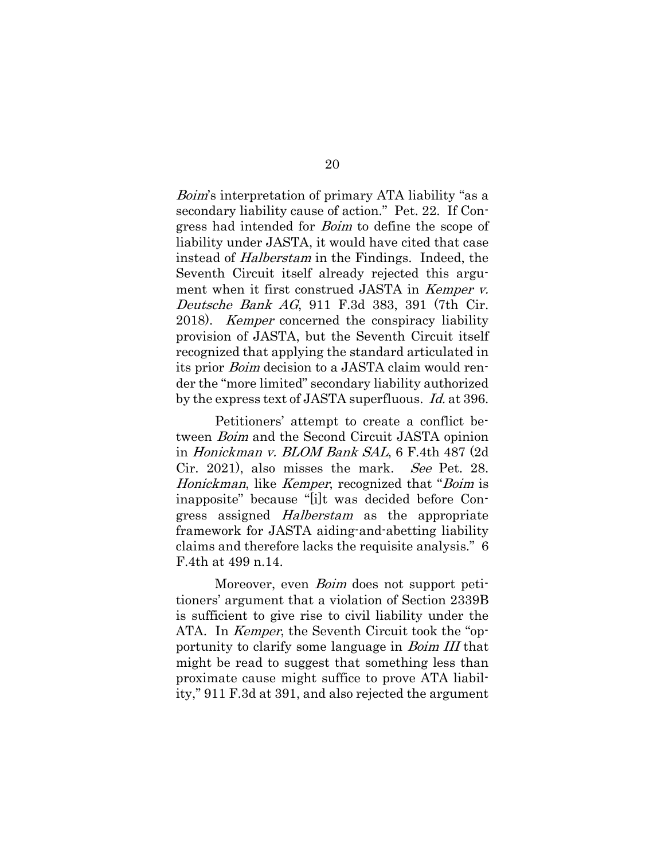Boim's interpretation of primary ATA liability "as a secondary liability cause of action." Pet. 22. If Congress had intended for *Boim* to define the scope of liability under JASTA, it would have cited that case instead of Halberstam in the Findings. Indeed, the Seventh Circuit itself already rejected this argument when it first construed JASTA in Kemper v. Deutsche Bank AG, 911 F.3d 383, 391 (7th Cir. 2018). *Kemper* concerned the conspiracy liability provision of JASTA, but the Seventh Circuit itself recognized that applying the standard articulated in its prior Boim decision to a JASTA claim would render the "more limited" secondary liability authorized by the express text of JASTA superfluous. *Id.* at 396.

Petitioners' attempt to create a conflict between Boim and the Second Circuit JASTA opinion in Honickman v. BLOM Bank SAL, 6 F.4th 487 (2d Cir. 2021), also misses the mark. See Pet. 28. Honickman, like Kemper, recognized that "Boim is inapposite" because "[i]t was decided before Congress assigned Halberstam as the appropriate framework for JASTA aiding-and-abetting liability claims and therefore lacks the requisite analysis." 6 F.4th at 499 n.14.

Moreover, even *Boim* does not support petitioners' argument that a violation of Section 2339B is sufficient to give rise to civil liability under the ATA. In *Kemper*, the Seventh Circuit took the "opportunity to clarify some language in *Boim III* that might be read to suggest that something less than proximate cause might suffice to prove ATA liability," 911 F.3d at 391, and also rejected the argument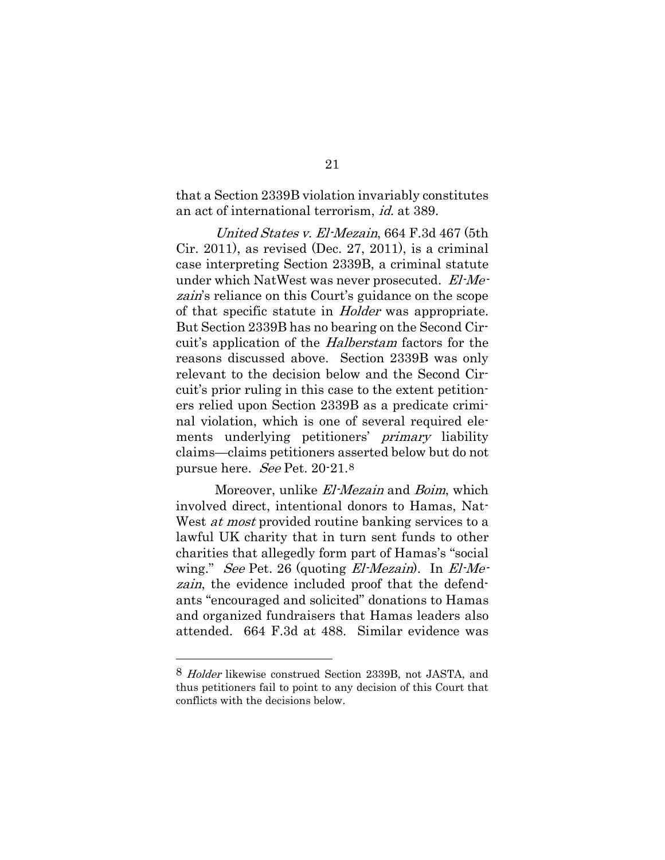that a Section 2339B violation invariably constitutes an act of international terrorism, id. at 389.

United States v. El-Mezain, 664 F.3d 467 (5th Cir. 2011), as revised (Dec. 27, 2011), is a criminal case interpreting Section 2339B, a criminal statute under which NatWest was never prosecuted. El-Mezain's reliance on this Court's guidance on the scope of that specific statute in Holder was appropriate. But Section 2339B has no bearing on the Second Circuit's application of the Halberstam factors for the reasons discussed above. Section 2339B was only relevant to the decision below and the Second Circuit's prior ruling in this case to the extent petitioners relied upon Section 2339B as a predicate criminal violation, which is one of several required elements underlying petitioners' primary liability claims—claims petitioners asserted below but do not pursue here. See Pet. 20-21.[8](#page-27-0)

Moreover, unlike El-Mezain and Boim, which involved direct, intentional donors to Hamas, Nat-West *at most* provided routine banking services to a lawful UK charity that in turn sent funds to other charities that allegedly form part of Hamas's "social wing." See Pet. 26 (quoting *El-Mezain*). In *El-Me*zain, the evidence included proof that the defendants "encouraged and solicited" donations to Hamas and organized fundraisers that Hamas leaders also attended. 664 F.3d at 488. Similar evidence was

<span id="page-27-0"></span><sup>8</sup> Holder likewise construed Section 2339B, not JASTA, and thus petitioners fail to point to any decision of this Court that conflicts with the decisions below.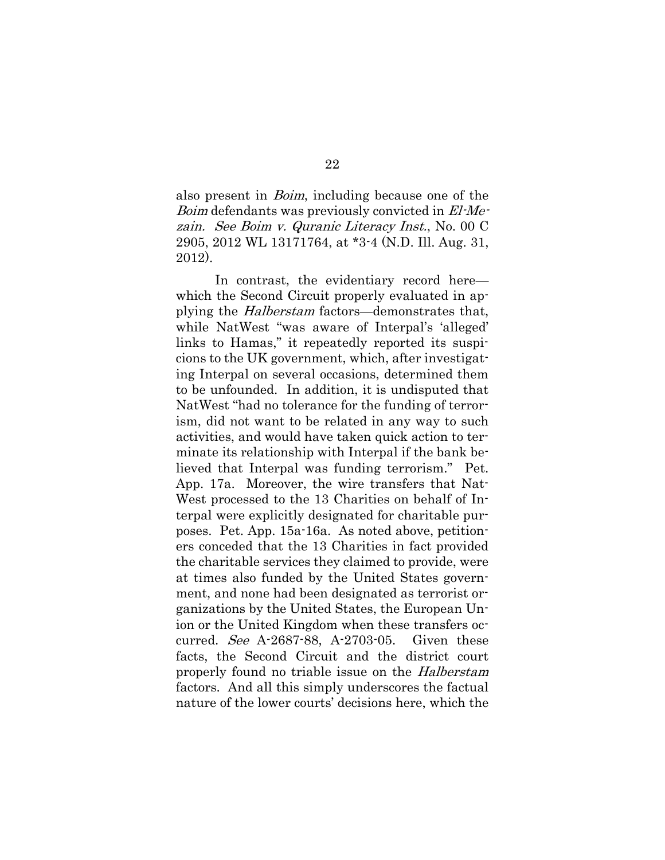also present in *Boim*, including because one of the Boim defendants was previously convicted in El-Mezain. See Boim v. Quranic Literacy Inst., No. 00 C 2905, 2012 WL 13171764, at \*3-4 (N.D. Ill. Aug. 31, 2012).

In contrast, the evidentiary record here which the Second Circuit properly evaluated in applying the Halberstam factors—demonstrates that, while NatWest "was aware of Interpal's 'alleged' links to Hamas," it repeatedly reported its suspicions to the UK government, which, after investigating Interpal on several occasions, determined them to be unfounded. In addition, it is undisputed that NatWest "had no tolerance for the funding of terrorism, did not want to be related in any way to such activities, and would have taken quick action to terminate its relationship with Interpal if the bank believed that Interpal was funding terrorism." Pet. App. 17a. Moreover, the wire transfers that Nat-West processed to the 13 Charities on behalf of Interpal were explicitly designated for charitable purposes. Pet. App. 15a-16a. As noted above, petitioners conceded that the 13 Charities in fact provided the charitable services they claimed to provide, were at times also funded by the United States government, and none had been designated as terrorist organizations by the United States, the European Union or the United Kingdom when these transfers occurred. See A-2687-88, A-2703-05. Given these facts, the Second Circuit and the district court properly found no triable issue on the *Halberstam* factors. And all this simply underscores the factual nature of the lower courts' decisions here, which the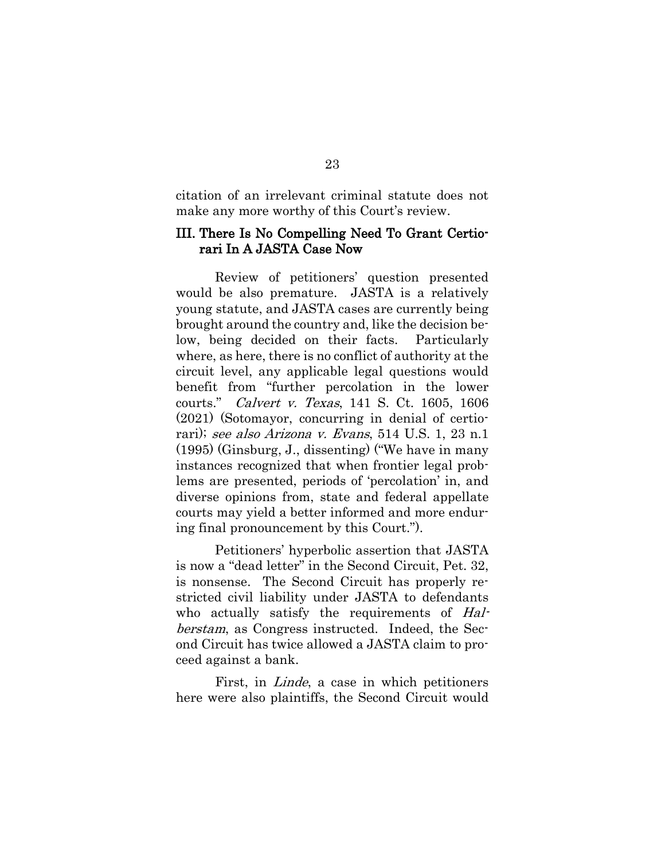citation of an irrelevant criminal statute does not make any more worthy of this Court's review.

#### <span id="page-29-0"></span>III. There Is No Compelling Need To Grant Certiorari In A JASTA Case Now

Review of petitioners' question presented would be also premature. JASTA is a relatively young statute, and JASTA cases are currently being brought around the country and, like the decision below, being decided on their facts. Particularly where, as here, there is no conflict of authority at the circuit level, any applicable legal questions would benefit from "further percolation in the lower courts." Calvert v. Texas, 141 S. Ct. 1605, 1606 (2021) (Sotomayor, concurring in denial of certiorari); see also Arizona v. Evans, 514 U.S. 1, 23 n.1 (1995) (Ginsburg, J., dissenting) ("We have in many instances recognized that when frontier legal problems are presented, periods of 'percolation' in, and diverse opinions from, state and federal appellate courts may yield a better informed and more enduring final pronouncement by this Court.").

Petitioners' hyperbolic assertion that JASTA is now a "dead letter" in the Second Circuit, Pet. 32, is nonsense. The Second Circuit has properly restricted civil liability under JASTA to defendants who actually satisfy the requirements of Halberstam, as Congress instructed. Indeed, the Second Circuit has twice allowed a JASTA claim to proceed against a bank.

First, in *Linde*, a case in which petitioners here were also plaintiffs, the Second Circuit would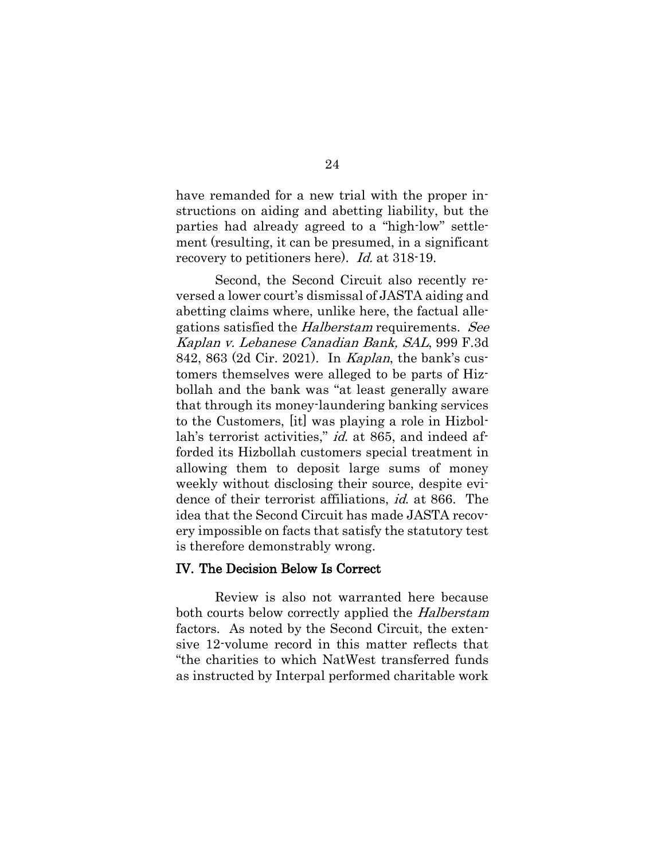have remanded for a new trial with the proper instructions on aiding and abetting liability, but the parties had already agreed to a "high-low" settlement (resulting, it can be presumed, in a significant recovery to petitioners here). Id. at 318-19.

Second, the Second Circuit also recently reversed a lower court's dismissal of JASTA aiding and abetting claims where, unlike here, the factual allegations satisfied the *Halberstam* requirements. See Kaplan v. Lebanese Canadian Bank, SAL, 999 F.3d 842, 863 (2d Cir. 2021). In Kaplan, the bank's customers themselves were alleged to be parts of Hizbollah and the bank was "at least generally aware that through its money-laundering banking services to the Customers, [it] was playing a role in Hizbollah's terrorist activities," *id.* at 865, and indeed afforded its Hizbollah customers special treatment in allowing them to deposit large sums of money weekly without disclosing their source, despite evidence of their terrorist affiliations, id. at 866. The idea that the Second Circuit has made JASTA recovery impossible on facts that satisfy the statutory test is therefore demonstrably wrong.

#### <span id="page-30-0"></span>IV. The Decision Below Is Correct

Review is also not warranted here because both courts below correctly applied the Halberstam factors. As noted by the Second Circuit, the extensive 12-volume record in this matter reflects that "the charities to which NatWest transferred funds as instructed by Interpal performed charitable work

#### 24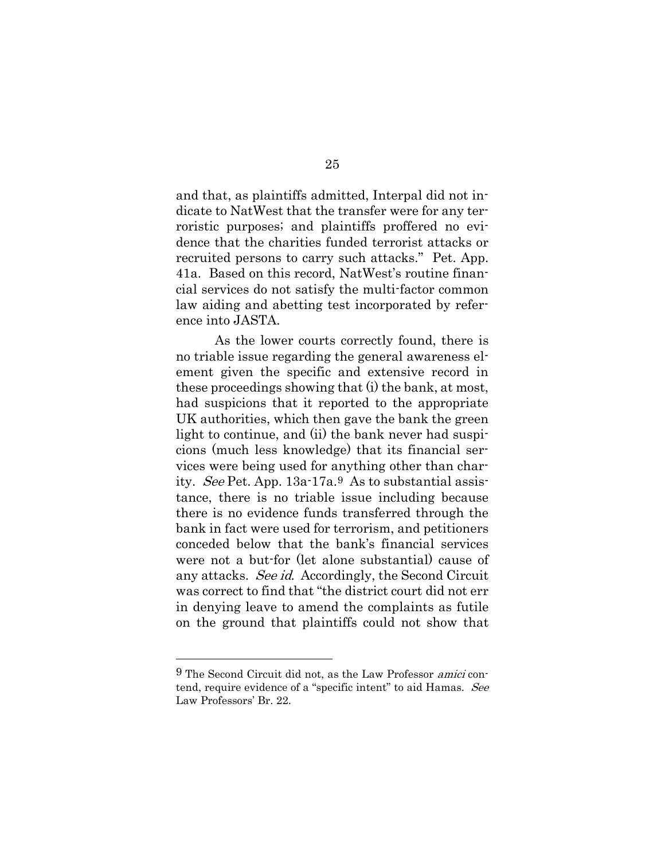and that, as plaintiffs admitted, Interpal did not indicate to NatWest that the transfer were for any terroristic purposes; and plaintiffs proffered no evidence that the charities funded terrorist attacks or recruited persons to carry such attacks." Pet. App. 41a. Based on this record, NatWest's routine financial services do not satisfy the multi-factor common law aiding and abetting test incorporated by reference into JASTA.

As the lower courts correctly found, there is no triable issue regarding the general awareness element given the specific and extensive record in these proceedings showing that (i) the bank, at most, had suspicions that it reported to the appropriate UK authorities, which then gave the bank the green light to continue, and (ii) the bank never had suspicions (much less knowledge) that its financial services were being used for anything other than charity. See Pet. App. 13a-17a.[9](#page-31-0) As to substantial assistance, there is no triable issue including because there is no evidence funds transferred through the bank in fact were used for terrorism, and petitioners conceded below that the bank's financial services were not a but-for (let alone substantial) cause of any attacks. See id. Accordingly, the Second Circuit was correct to find that "the district court did not err in denying leave to amend the complaints as futile on the ground that plaintiffs could not show that

<span id="page-31-0"></span><sup>9</sup> The Second Circuit did not, as the Law Professor amici contend, require evidence of a "specific intent" to aid Hamas. See Law Professors' Br. 22.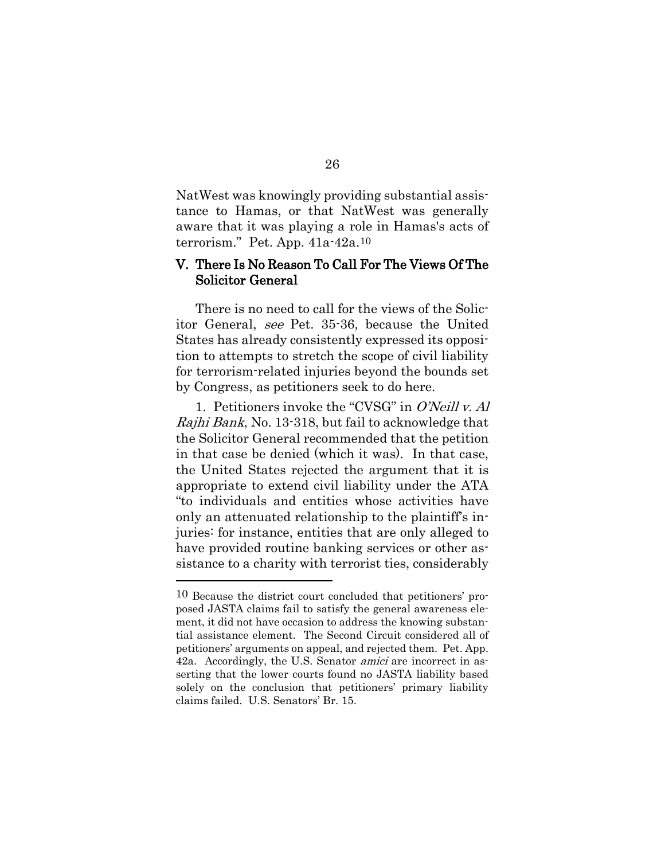NatWest was knowingly providing substantial assistance to Hamas, or that NatWest was generally aware that it was playing a role in Hamas's acts of terrorism." Pet. App. 41a-42a.[10](#page-32-1)

#### <span id="page-32-0"></span>V. There Is No Reason To Call For The Views Of The Solicitor General

There is no need to call for the views of the Solicitor General, see Pet. 35-36, because the United States has already consistently expressed its opposition to attempts to stretch the scope of civil liability for terrorism-related injuries beyond the bounds set by Congress, as petitioners seek to do here.

1. Petitioners invoke the "CVSG" in O'Neill v. Al Rajhi Bank, No. 13-318, but fail to acknowledge that the Solicitor General recommended that the petition in that case be denied (which it was). In that case, the United States rejected the argument that it is appropriate to extend civil liability under the ATA "to individuals and entities whose activities have only an attenuated relationship to the plaintiff's injuries: for instance, entities that are only alleged to have provided routine banking services or other assistance to a charity with terrorist ties, considerably

<span id="page-32-1"></span><sup>10</sup> Because the district court concluded that petitioners' proposed JASTA claims fail to satisfy the general awareness element, it did not have occasion to address the knowing substantial assistance element. The Second Circuit considered all of petitioners' arguments on appeal, and rejected them. Pet. App. 42a. Accordingly, the U.S. Senator *amici* are incorrect in asserting that the lower courts found no JASTA liability based solely on the conclusion that petitioners' primary liability claims failed. U.S. Senators' Br. 15.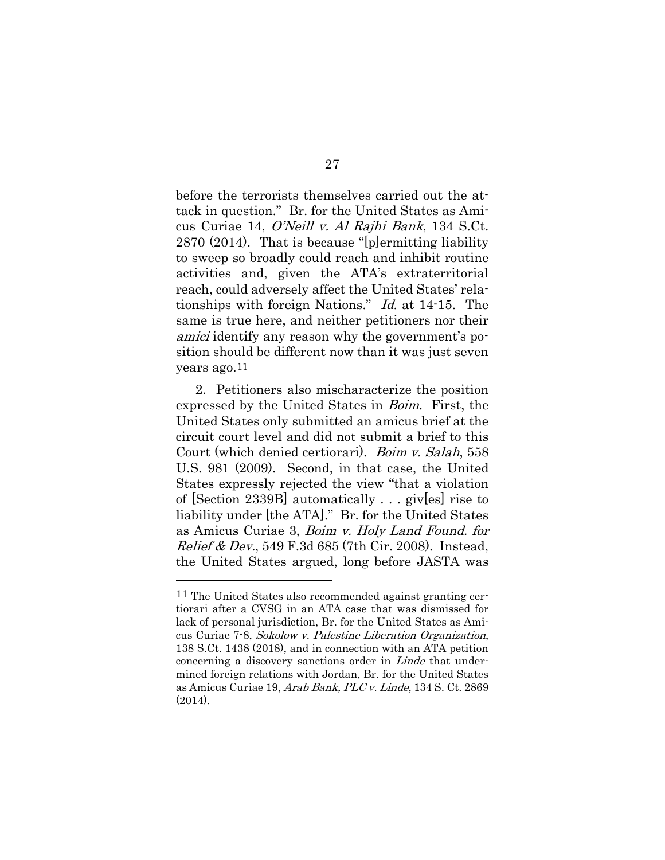before the terrorists themselves carried out the attack in question." Br. for the United States as Amicus Curiae 14, O'Neill v. Al Rajhi Bank, 134 S.Ct. 2870 (2014). That is because "[p]ermitting liability to sweep so broadly could reach and inhibit routine activities and, given the ATA's extraterritorial reach, could adversely affect the United States' relationships with foreign Nations." Id. at 14-15. The same is true here, and neither petitioners nor their amici identify any reason why the government's position should be different now than it was just seven years ago.[11](#page-33-0)

2. Petitioners also mischaracterize the position expressed by the United States in Boim. First, the United States only submitted an amicus brief at the circuit court level and did not submit a brief to this Court (which denied certiorari). Boim v. Salah, 558 U.S. 981 (2009). Second, in that case, the United States expressly rejected the view "that a violation of [Section 2339B] automatically . . . giv[es] rise to liability under [the ATA]." Br. for the United States as Amicus Curiae 3, Boim v. Holy Land Found. for *Relief & Dev.*, 549 F.3d 685 (7th Cir. 2008). Instead, the United States argued, long before JASTA was

<span id="page-33-0"></span><sup>11</sup> The United States also recommended against granting certiorari after a CVSG in an ATA case that was dismissed for lack of personal jurisdiction, Br. for the United States as Amicus Curiae 7-8, Sokolow v. Palestine Liberation Organization, 138 S.Ct. 1438 (2018), and in connection with an ATA petition concerning a discovery sanctions order in *Linde* that undermined foreign relations with Jordan, Br. for the United States as Amicus Curiae 19, Arab Bank, PLC v. Linde, 134 S. Ct. 2869 (2014).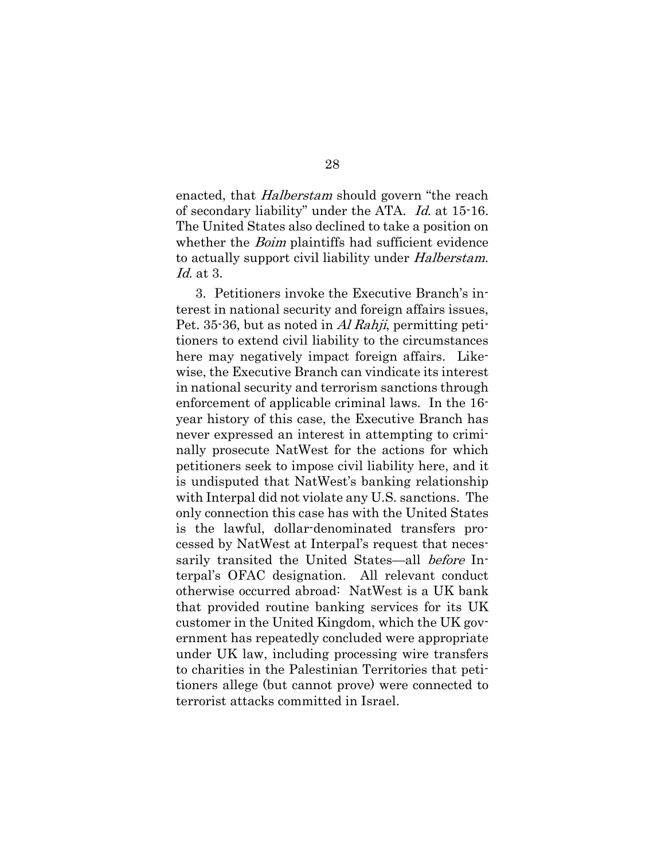enacted, that *Halberstam* should govern "the reach of secondary liability" under the ATA. Id. at 15-16. The United States also declined to take a position on whether the *Boim* plaintiffs had sufficient evidence to actually support civil liability under *Halberstam*. Id. at 3.

3. Petitioners invoke the Executive Branch's interest in national security and foreign affairs issues, Pet. 35-36, but as noted in *Al Rahji*, permitting petitioners to extend civil liability to the circumstances here may negatively impact foreign affairs. Likewise, the Executive Branch can vindicate its interest in national security and terrorism sanctions through enforcement of applicable criminal laws. In the 16 year history of this case, the Executive Branch has never expressed an interest in attempting to criminally prosecute NatWest for the actions for which petitioners seek to impose civil liability here, and it is undisputed that NatWest's banking relationship with Interpal did not violate any U.S. sanctions. The only connection this case has with the United States is the lawful, dollar-denominated transfers processed by NatWest at Interpal's request that necessarily transited the United States—all before Interpal's OFAC designation. All relevant conduct otherwise occurred abroad: NatWest is a UK bank that provided routine banking services for its UK customer in the United Kingdom, which the UK government has repeatedly concluded were appropriate under UK law, including processing wire transfers to charities in the Palestinian Territories that petitioners allege (but cannot prove) were connected to terrorist attacks committed in Israel.